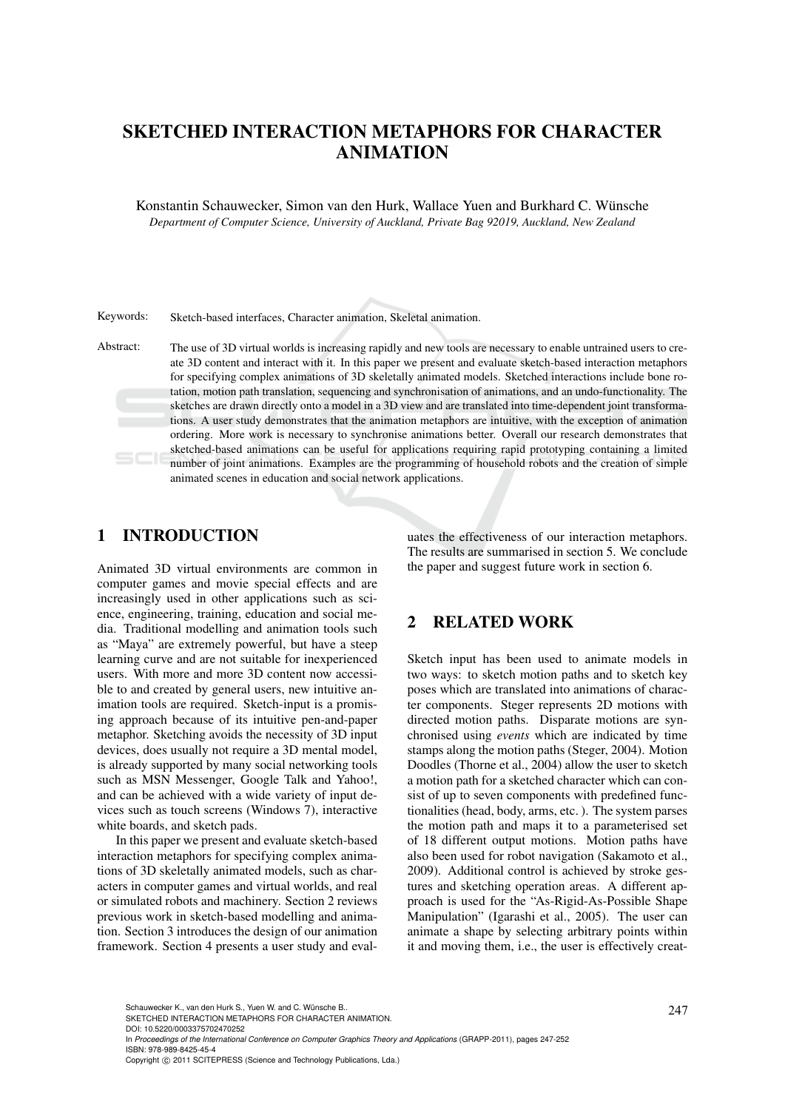# SKETCHED INTERACTION METAPHORS FOR CHARACTER ANIMATION

Konstantin Schauwecker, Simon van den Hurk, Wallace Yuen and Burkhard C. Wunsche ¨ *Department of Computer Science, University of Auckland, Private Bag 92019, Auckland, New Zealand*

Keywords: Sketch-based interfaces, Character animation, Skeletal animation.

Abstract: The use of 3D virtual worlds is increasing rapidly and new tools are necessary to enable untrained users to create 3D content and interact with it. In this paper we present and evaluate sketch-based interaction metaphors for specifying complex animations of 3D skeletally animated models. Sketched interactions include bone rotation, motion path translation, sequencing and synchronisation of animations, and an undo-functionality. The sketches are drawn directly onto a model in a 3D view and are translated into time-dependent joint transformations. A user study demonstrates that the animation metaphors are intuitive, with the exception of animation ordering. More work is necessary to synchronise animations better. Overall our research demonstrates that sketched-based animations can be useful for applications requiring rapid prototyping containing a limited number of joint animations. Examples are the programming of household robots and the creation of simple animated scenes in education and social network applications.

# 1 INTRODUCTION

Animated 3D virtual environments are common in computer games and movie special effects and are increasingly used in other applications such as science, engineering, training, education and social media. Traditional modelling and animation tools such as "Maya" are extremely powerful, but have a steep learning curve and are not suitable for inexperienced users. With more and more 3D content now accessible to and created by general users, new intuitive animation tools are required. Sketch-input is a promising approach because of its intuitive pen-and-paper metaphor. Sketching avoids the necessity of 3D input devices, does usually not require a 3D mental model, is already supported by many social networking tools such as MSN Messenger, Google Talk and Yahoo!, and can be achieved with a wide variety of input devices such as touch screens (Windows 7), interactive white boards, and sketch pads.

In this paper we present and evaluate sketch-based interaction metaphors for specifying complex animations of 3D skeletally animated models, such as characters in computer games and virtual worlds, and real or simulated robots and machinery. Section 2 reviews previous work in sketch-based modelling and animation. Section 3 introduces the design of our animation framework. Section 4 presents a user study and eval-

uates the effectiveness of our interaction metaphors. The results are summarised in section 5. We conclude the paper and suggest future work in section 6.

# 2 RELATED WORK

Sketch input has been used to animate models in two ways: to sketch motion paths and to sketch key poses which are translated into animations of character components. Steger represents 2D motions with directed motion paths. Disparate motions are synchronised using *events* which are indicated by time stamps along the motion paths (Steger, 2004). Motion Doodles (Thorne et al., 2004) allow the user to sketch a motion path for a sketched character which can consist of up to seven components with predefined functionalities (head, body, arms, etc. ). The system parses the motion path and maps it to a parameterised set of 18 different output motions. Motion paths have also been used for robot navigation (Sakamoto et al., 2009). Additional control is achieved by stroke gestures and sketching operation areas. A different approach is used for the "As-Rigid-As-Possible Shape Manipulation" (Igarashi et al., 2005). The user can animate a shape by selecting arbitrary points within it and moving them, i.e., the user is effectively creat-

Schauwecker K., van den Hurk S., Yuen W. and C. Wünsche B..<br>SKETCHED INTERACTION METAPHORS FOR CHARACTER ANIMATION.

DOI: 10.5220/0003375702470252

In *Proceedings of the International Conference on Computer Graphics Theory and Applications* (GRAPP-2011), pages 247-252 ISBN: 978-989-8425-45-4

Copyright © 2011 SCITEPRESS (Science and Technology Publications, Lda.)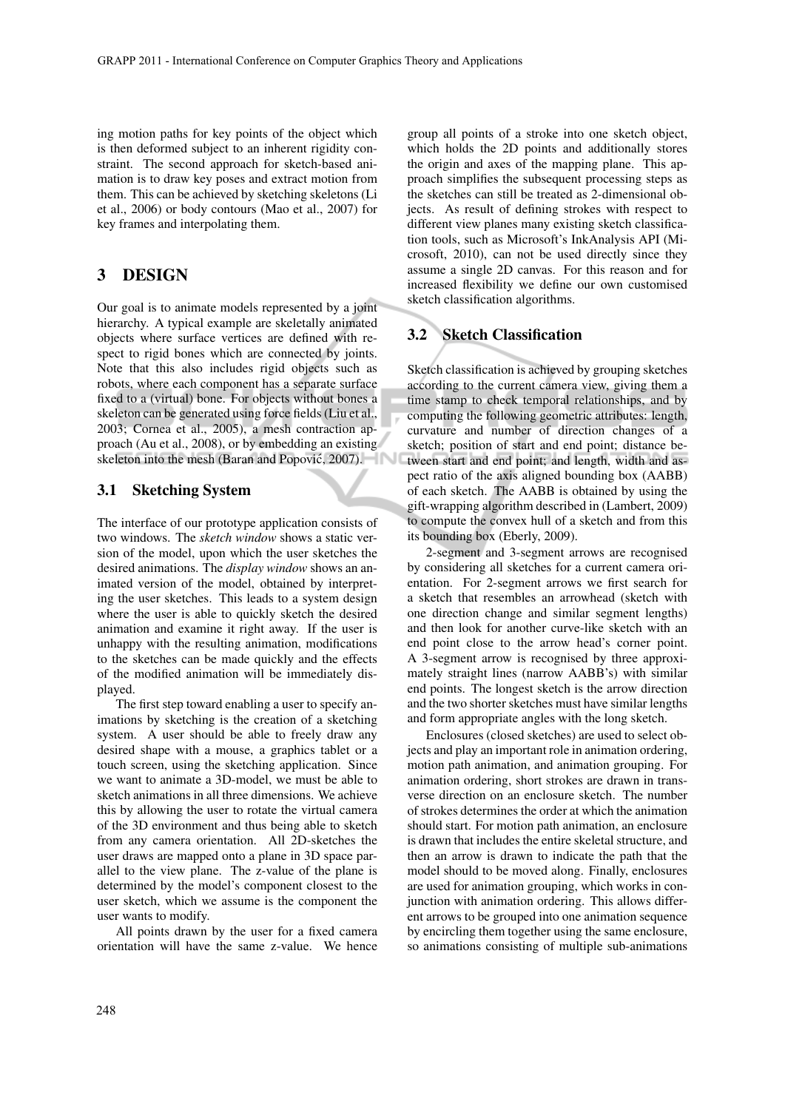ing motion paths for key points of the object which is then deformed subject to an inherent rigidity constraint. The second approach for sketch-based animation is to draw key poses and extract motion from them. This can be achieved by sketching skeletons (Li et al., 2006) or body contours (Mao et al., 2007) for key frames and interpolating them.

# 3 DESIGN

Our goal is to animate models represented by a joint hierarchy. A typical example are skeletally animated objects where surface vertices are defined with respect to rigid bones which are connected by joints. Note that this also includes rigid objects such as robots, where each component has a separate surface fixed to a (virtual) bone. For objects without bones a skeleton can be generated using force fields (Liu et al., 2003; Cornea et al., 2005), a mesh contraction approach (Au et al., 2008), or by embedding an existing skeleton into the mesh (Baran and Popović, 2007).

#### 3.1 Sketching System

The interface of our prototype application consists of two windows. The *sketch window* shows a static version of the model, upon which the user sketches the desired animations. The *display window* shows an animated version of the model, obtained by interpreting the user sketches. This leads to a system design where the user is able to quickly sketch the desired animation and examine it right away. If the user is unhappy with the resulting animation, modifications to the sketches can be made quickly and the effects of the modified animation will be immediately displayed.

The first step toward enabling a user to specify animations by sketching is the creation of a sketching system. A user should be able to freely draw any desired shape with a mouse, a graphics tablet or a touch screen, using the sketching application. Since we want to animate a 3D-model, we must be able to sketch animations in all three dimensions. We achieve this by allowing the user to rotate the virtual camera of the 3D environment and thus being able to sketch from any camera orientation. All 2D-sketches the user draws are mapped onto a plane in 3D space parallel to the view plane. The z-value of the plane is determined by the model's component closest to the user sketch, which we assume is the component the user wants to modify.

All points drawn by the user for a fixed camera orientation will have the same z-value. We hence

group all points of a stroke into one sketch object, which holds the 2D points and additionally stores the origin and axes of the mapping plane. This approach simplifies the subsequent processing steps as the sketches can still be treated as 2-dimensional objects. As result of defining strokes with respect to different view planes many existing sketch classification tools, such as Microsoft's InkAnalysis API (Microsoft, 2010), can not be used directly since they assume a single 2D canvas. For this reason and for increased flexibility we define our own customised sketch classification algorithms.

#### 3.2 Sketch Classification

Sketch classification is achieved by grouping sketches according to the current camera view, giving them a time stamp to check temporal relationships, and by computing the following geometric attributes: length, curvature and number of direction changes of a sketch; position of start and end point; distance between start and end point; and length, width and aspect ratio of the axis aligned bounding box (AABB) of each sketch. The AABB is obtained by using the gift-wrapping algorithm described in (Lambert, 2009) to compute the convex hull of a sketch and from this its bounding box (Eberly, 2009).

2-segment and 3-segment arrows are recognised by considering all sketches for a current camera orientation. For 2-segment arrows we first search for a sketch that resembles an arrowhead (sketch with one direction change and similar segment lengths) and then look for another curve-like sketch with an end point close to the arrow head's corner point. A 3-segment arrow is recognised by three approximately straight lines (narrow AABB's) with similar end points. The longest sketch is the arrow direction and the two shorter sketches must have similar lengths and form appropriate angles with the long sketch.

Enclosures (closed sketches) are used to select objects and play an important role in animation ordering, motion path animation, and animation grouping. For animation ordering, short strokes are drawn in transverse direction on an enclosure sketch. The number of strokes determines the order at which the animation should start. For motion path animation, an enclosure is drawn that includes the entire skeletal structure, and then an arrow is drawn to indicate the path that the model should to be moved along. Finally, enclosures are used for animation grouping, which works in conjunction with animation ordering. This allows different arrows to be grouped into one animation sequence by encircling them together using the same enclosure, so animations consisting of multiple sub-animations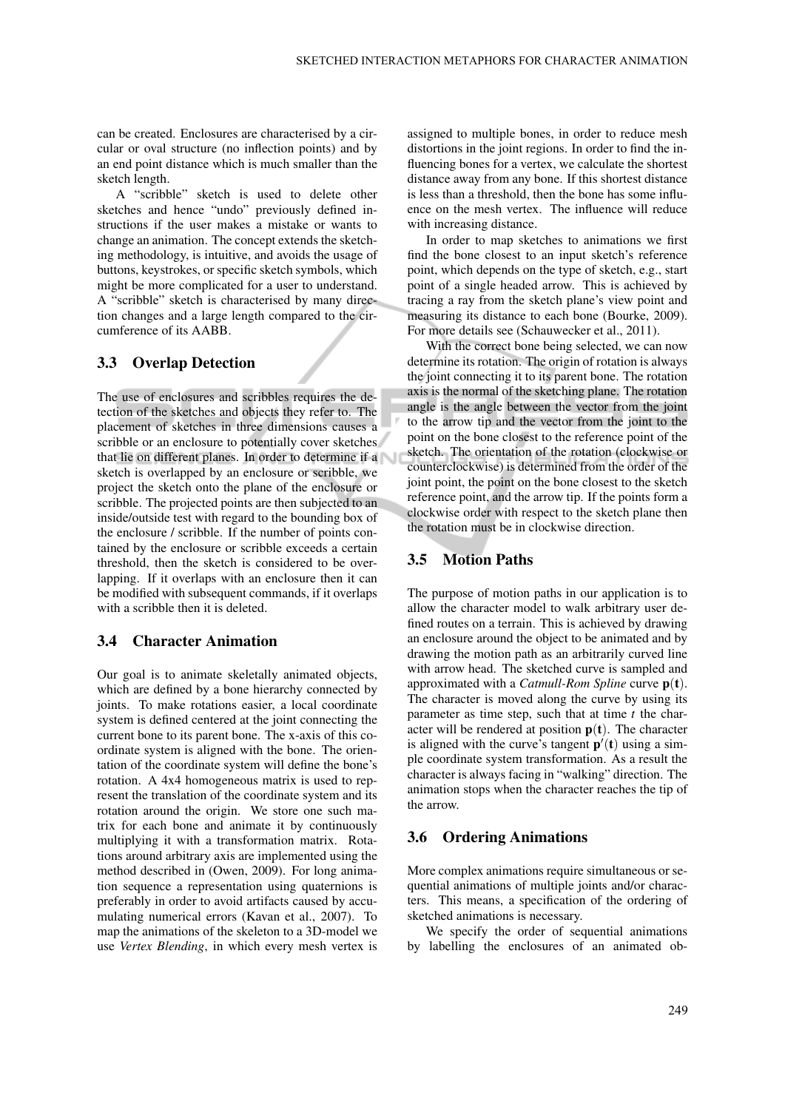can be created. Enclosures are characterised by a circular or oval structure (no inflection points) and by an end point distance which is much smaller than the sketch length.

A "scribble" sketch is used to delete other sketches and hence "undo" previously defined instructions if the user makes a mistake or wants to change an animation. The concept extends the sketching methodology, is intuitive, and avoids the usage of buttons, keystrokes, or specific sketch symbols, which might be more complicated for a user to understand. A "scribble" sketch is characterised by many direction changes and a large length compared to the circumference of its AABB.

#### 3.3 Overlap Detection

The use of enclosures and scribbles requires the detection of the sketches and objects they refer to. The placement of sketches in three dimensions causes a scribble or an enclosure to potentially cover sketches that lie on different planes. In order to determine if a sketch is overlapped by an enclosure or scribble, we project the sketch onto the plane of the enclosure or scribble. The projected points are then subjected to an inside/outside test with regard to the bounding box of the enclosure / scribble. If the number of points contained by the enclosure or scribble exceeds a certain threshold, then the sketch is considered to be overlapping. If it overlaps with an enclosure then it can be modified with subsequent commands, if it overlaps with a scribble then it is deleted.

### 3.4 Character Animation

Our goal is to animate skeletally animated objects, which are defined by a bone hierarchy connected by joints. To make rotations easier, a local coordinate system is defined centered at the joint connecting the current bone to its parent bone. The x-axis of this coordinate system is aligned with the bone. The orientation of the coordinate system will define the bone's rotation. A 4x4 homogeneous matrix is used to represent the translation of the coordinate system and its rotation around the origin. We store one such matrix for each bone and animate it by continuously multiplying it with a transformation matrix. Rotations around arbitrary axis are implemented using the method described in (Owen, 2009). For long animation sequence a representation using quaternions is preferably in order to avoid artifacts caused by accumulating numerical errors (Kavan et al., 2007). To map the animations of the skeleton to a 3D-model we use *Vertex Blending*, in which every mesh vertex is

assigned to multiple bones, in order to reduce mesh distortions in the joint regions. In order to find the influencing bones for a vertex, we calculate the shortest distance away from any bone. If this shortest distance is less than a threshold, then the bone has some influence on the mesh vertex. The influence will reduce with increasing distance.

In order to map sketches to animations we first find the bone closest to an input sketch's reference point, which depends on the type of sketch, e.g., start point of a single headed arrow. This is achieved by tracing a ray from the sketch plane's view point and measuring its distance to each bone (Bourke, 2009). For more details see (Schauwecker et al., 2011).

With the correct bone being selected, we can now determine its rotation. The origin of rotation is always the joint connecting it to its parent bone. The rotation axis is the normal of the sketching plane. The rotation angle is the angle between the vector from the joint to the arrow tip and the vector from the joint to the point on the bone closest to the reference point of the sketch. The orientation of the rotation (clockwise or counterclockwise) is determined from the order of the joint point, the point on the bone closest to the sketch reference point, and the arrow tip. If the points form a clockwise order with respect to the sketch plane then the rotation must be in clockwise direction.

#### 3.5 Motion Paths

The purpose of motion paths in our application is to allow the character model to walk arbitrary user defined routes on a terrain. This is achieved by drawing an enclosure around the object to be animated and by drawing the motion path as an arbitrarily curved line with arrow head. The sketched curve is sampled and approximated with a *Catmull-Rom Spline* curve p(t). The character is moved along the curve by using its parameter as time step, such that at time *t* the character will be rendered at position  $p(t)$ . The character is aligned with the curve's tangent  $p'(t)$  using a simple coordinate system transformation. As a result the character is always facing in "walking" direction. The animation stops when the character reaches the tip of the arrow.

#### 3.6 Ordering Animations

More complex animations require simultaneous or sequential animations of multiple joints and/or characters. This means, a specification of the ordering of sketched animations is necessary.

We specify the order of sequential animations by labelling the enclosures of an animated ob-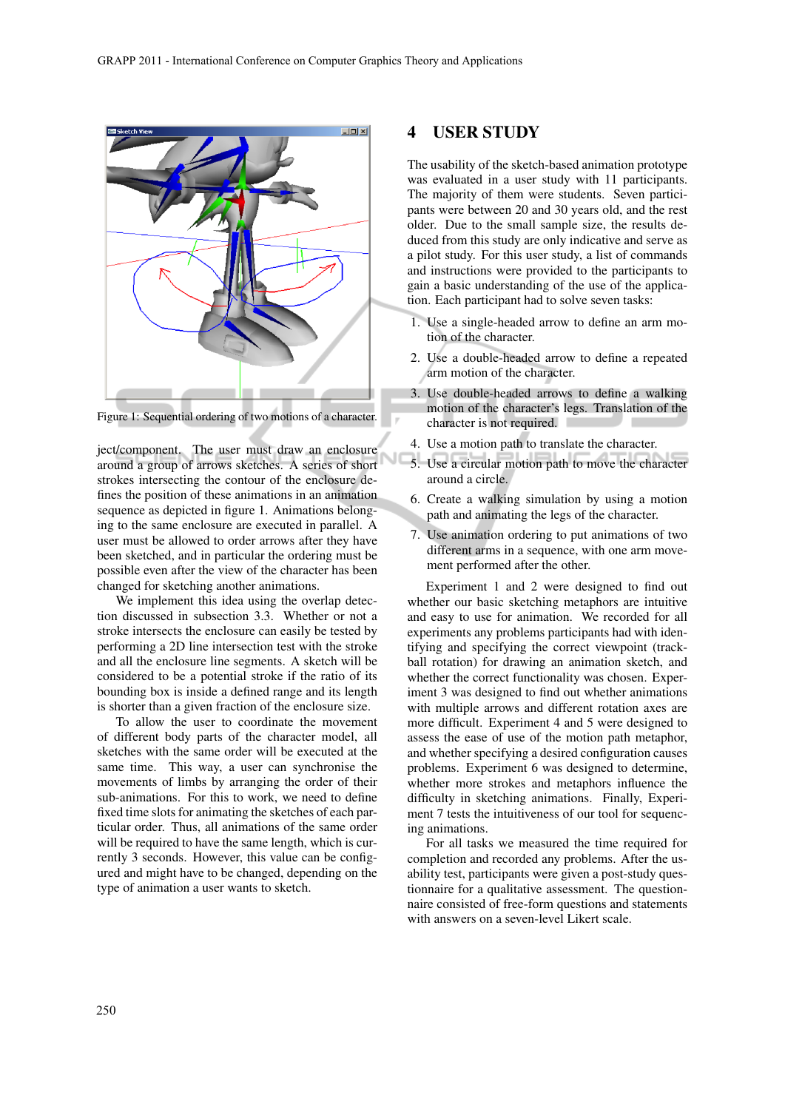

Figure 1: Sequential ordering of two motions of a character.

ject/component. The user must draw an enclosure around a group of arrows sketches. A series of short strokes intersecting the contour of the enclosure defines the position of these animations in an animation sequence as depicted in figure 1. Animations belonging to the same enclosure are executed in parallel. A user must be allowed to order arrows after they have been sketched, and in particular the ordering must be possible even after the view of the character has been changed for sketching another animations.

We implement this idea using the overlap detection discussed in subsection 3.3. Whether or not a stroke intersects the enclosure can easily be tested by performing a 2D line intersection test with the stroke and all the enclosure line segments. A sketch will be considered to be a potential stroke if the ratio of its bounding box is inside a defined range and its length is shorter than a given fraction of the enclosure size.

To allow the user to coordinate the movement of different body parts of the character model, all sketches with the same order will be executed at the same time. This way, a user can synchronise the movements of limbs by arranging the order of their sub-animations. For this to work, we need to define fixed time slots for animating the sketches of each particular order. Thus, all animations of the same order will be required to have the same length, which is currently 3 seconds. However, this value can be configured and might have to be changed, depending on the type of animation a user wants to sketch.

### 4 USER STUDY

The usability of the sketch-based animation prototype was evaluated in a user study with 11 participants. The majority of them were students. Seven participants were between 20 and 30 years old, and the rest older. Due to the small sample size, the results deduced from this study are only indicative and serve as a pilot study. For this user study, a list of commands and instructions were provided to the participants to gain a basic understanding of the use of the application. Each participant had to solve seven tasks:

- 1. Use a single-headed arrow to define an arm motion of the character.
- 2. Use a double-headed arrow to define a repeated arm motion of the character.
- 3. Use double-headed arrows to define a walking motion of the character's legs. Translation of the character is not required.
- 4. Use a motion path to translate the character.
- 5. Use a circular motion path to move the character around a circle.
- 6. Create a walking simulation by using a motion path and animating the legs of the character.
- 7. Use animation ordering to put animations of two different arms in a sequence, with one arm movement performed after the other.

Experiment 1 and 2 were designed to find out whether our basic sketching metaphors are intuitive and easy to use for animation. We recorded for all experiments any problems participants had with identifying and specifying the correct viewpoint (trackball rotation) for drawing an animation sketch, and whether the correct functionality was chosen. Experiment 3 was designed to find out whether animations with multiple arrows and different rotation axes are more difficult. Experiment 4 and 5 were designed to assess the ease of use of the motion path metaphor, and whether specifying a desired configuration causes problems. Experiment 6 was designed to determine, whether more strokes and metaphors influence the difficulty in sketching animations. Finally, Experiment 7 tests the intuitiveness of our tool for sequencing animations.

For all tasks we measured the time required for completion and recorded any problems. After the usability test, participants were given a post-study questionnaire for a qualitative assessment. The questionnaire consisted of free-form questions and statements with answers on a seven-level Likert scale.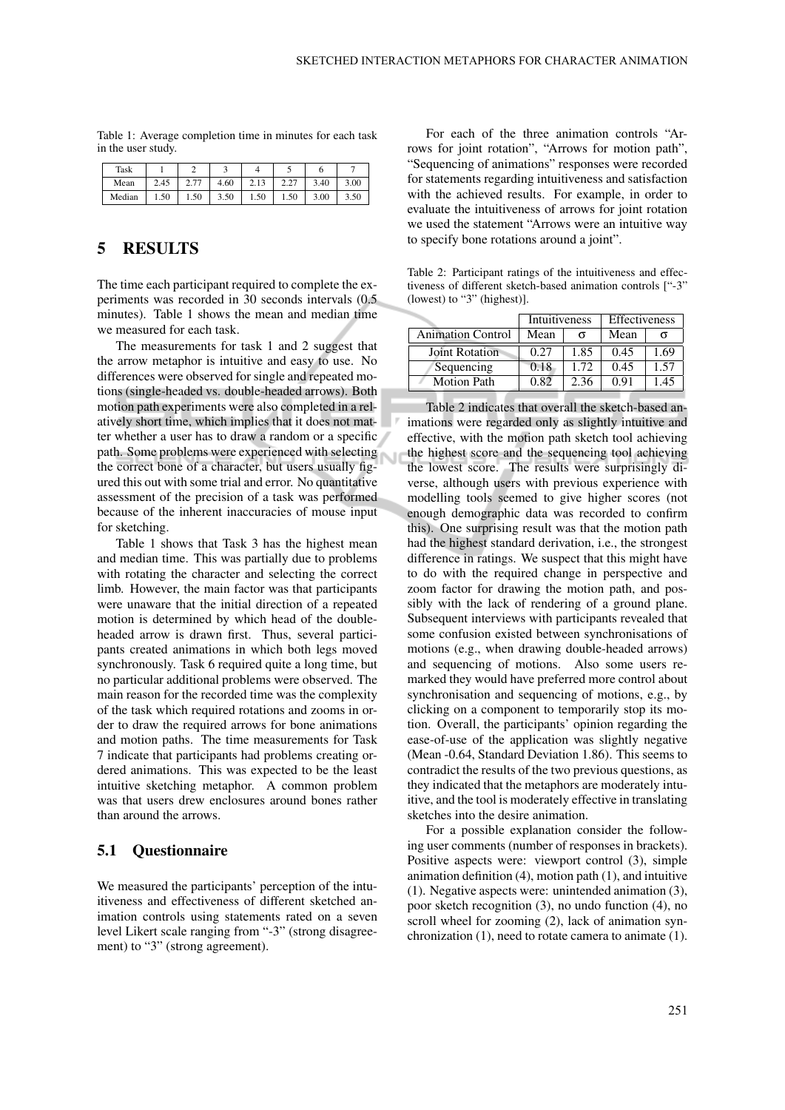Table 1: Average completion time in minutes for each task in the user study.

| Task   |      | ∽             |      |       |            |      |      |
|--------|------|---------------|------|-------|------------|------|------|
| Mean   | 2.45 | 77<br><u></u> | 4.60 | د 1 . | 22<br>4.LI | 3.40 | 3.00 |
| Median | 1.50 | 1.50          | 3.50 | 1.50  | 1.50       | 3.00 | 3.50 |

# 5 RESULTS

The time each participant required to complete the experiments was recorded in 30 seconds intervals (0.5 minutes). Table 1 shows the mean and median time we measured for each task.

The measurements for task 1 and 2 suggest that the arrow metaphor is intuitive and easy to use. No differences were observed for single and repeated motions (single-headed vs. double-headed arrows). Both motion path experiments were also completed in a relatively short time, which implies that it does not matter whether a user has to draw a random or a specific path. Some problems were experienced with selecting the correct bone of a character, but users usually figured this out with some trial and error. No quantitative assessment of the precision of a task was performed because of the inherent inaccuracies of mouse input for sketching.

Table 1 shows that Task 3 has the highest mean and median time. This was partially due to problems with rotating the character and selecting the correct limb. However, the main factor was that participants were unaware that the initial direction of a repeated motion is determined by which head of the doubleheaded arrow is drawn first. Thus, several participants created animations in which both legs moved synchronously. Task 6 required quite a long time, but no particular additional problems were observed. The main reason for the recorded time was the complexity of the task which required rotations and zooms in order to draw the required arrows for bone animations and motion paths. The time measurements for Task 7 indicate that participants had problems creating ordered animations. This was expected to be the least intuitive sketching metaphor. A common problem was that users drew enclosures around bones rather than around the arrows.

#### 5.1 Questionnaire

We measured the participants' perception of the intuitiveness and effectiveness of different sketched animation controls using statements rated on a seven level Likert scale ranging from "-3" (strong disagreement) to "3" (strong agreement).

For each of the three animation controls "Arrows for joint rotation", "Arrows for motion path", "Sequencing of animations" responses were recorded for statements regarding intuitiveness and satisfaction with the achieved results. For example, in order to evaluate the intuitiveness of arrows for joint rotation we used the statement "Arrows were an intuitive way to specify bone rotations around a joint".

Table 2: Participant ratings of the intuitiveness and effectiveness of different sketch-based animation controls ["-3" (lowest) to "3" (highest)].

|                          | Intuitiveness |      | <b>Effectiveness</b> |      |  |
|--------------------------|---------------|------|----------------------|------|--|
| <b>Animation Control</b> | Mean          |      | Mean                 |      |  |
| <b>Joint Rotation</b>    | 0.27          | 1.85 | 0.45                 | 1.69 |  |
| Sequencing               | 0.18          | 1.72 | 0.45                 | 1.57 |  |
| <b>Motion Path</b>       | 0.82          | 2.36 | 0.91                 | 1.45 |  |

Table 2 indicates that overall the sketch-based animations were regarded only as slightly intuitive and effective, with the motion path sketch tool achieving the highest score and the sequencing tool achieving the lowest score. The results were surprisingly diverse, although users with previous experience with modelling tools seemed to give higher scores (not enough demographic data was recorded to confirm this). One surprising result was that the motion path had the highest standard derivation, i.e., the strongest difference in ratings. We suspect that this might have to do with the required change in perspective and zoom factor for drawing the motion path, and possibly with the lack of rendering of a ground plane. Subsequent interviews with participants revealed that some confusion existed between synchronisations of motions (e.g., when drawing double-headed arrows) and sequencing of motions. Also some users remarked they would have preferred more control about synchronisation and sequencing of motions, e.g., by clicking on a component to temporarily stop its motion. Overall, the participants' opinion regarding the ease-of-use of the application was slightly negative (Mean -0.64, Standard Deviation 1.86). This seems to contradict the results of the two previous questions, as they indicated that the metaphors are moderately intuitive, and the tool is moderately effective in translating sketches into the desire animation.

For a possible explanation consider the following user comments (number of responses in brackets). Positive aspects were: viewport control (3), simple animation definition (4), motion path (1), and intuitive (1). Negative aspects were: unintended animation (3), poor sketch recognition (3), no undo function (4), no scroll wheel for zooming (2), lack of animation synchronization (1), need to rotate camera to animate (1).